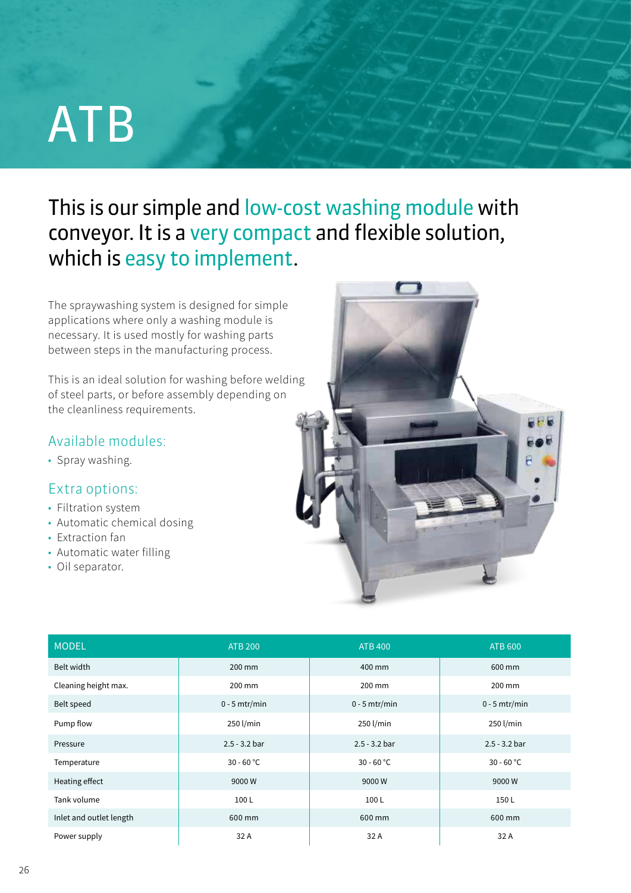# ATB

This is our simple and low-cost washing module with conveyor. It is a very compact and flexible solution, which is easy to implement.

The spraywashing system is designed for simple applications where only a washing module is necessary. It is used mostly for washing parts between steps in the manufacturing process.

This is an ideal solution for washing before welding of steel parts, or before assembly depending on the cleanliness requirements.

## Available modules:

• Spray washing.

## Extra options:

- Filtration system
- Automatic chemical dosing
- Extraction fan
- Automatic water filling
- Oil separator.



| <b>MODEL</b>            | <b>ATB 200</b>  | <b>ATB 400</b>  | <b>ATB 600</b>  |
|-------------------------|-----------------|-----------------|-----------------|
| Belt width              | 200 mm          | 400 mm          | 600 mm          |
| Cleaning height max.    | 200 mm          | 200 mm          | 200 mm          |
| Belt speed              | $0 - 5$ mtr/min | $0 - 5 mtr/min$ | $0 - 5 mtr/min$ |
| Pump flow               | 250 l/min       | 250 l/min       | 250 l/min       |
| Pressure                | $2.5 - 3.2$ bar | $2.5 - 3.2$ bar | $2.5 - 3.2$ bar |
| Temperature             | $30 - 60$ °C    | $30 - 60 °C$    | $30 - 60 °C$    |
| Heating effect          | 9000W           | 9000W           | 9000W           |
| Tank volume             | 100L            | 100L            | 150L            |
| Inlet and outlet length | 600 mm          | 600 mm          | 600 mm          |
| Power supply            | 32 A            | 32 A            | 32 A            |